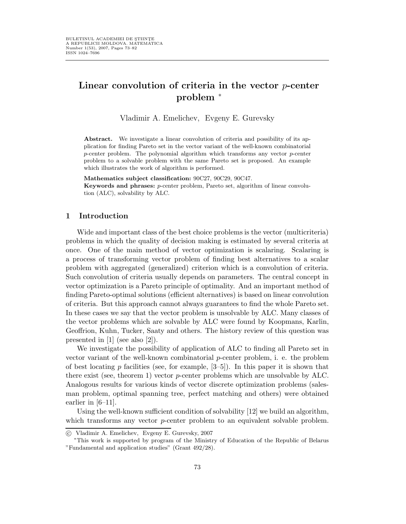# Linear convolution of criteria in the vector  $p$ -center problem <sup>∗</sup>

Vladimir A. Emelichev, Evgeny E. Gurevsky

Abstract. We investigate a linear convolution of criteria and possibility of its application for finding Pareto set in the vector variant of the well-known combinatorial  $p$ -center problem. The polynomial algorithm which transforms any vector  $p$ -center problem to a solvable problem with the same Pareto set is proposed. An example which illustrates the work of algorithm is performed.

Mathematics subject classification: 90C27, 90C29, 90C47.

Keywords and phrases: p-center problem, Pareto set, algorithm of linear convolution (ALC), solvability by ALC.

### 1 Introduction

Wide and important class of the best choice problems is the vector (multicriteria) problems in which the quality of decision making is estimated by several criteria at once. One of the main method of vector optimization is scalaring. Scalaring is a process of transforming vector problem of finding best alternatives to a scalar problem with aggregated (generalized) criterion which is a convolution of criteria. Such convolution of criteria usually depends on parameters. The central concept in vector optimization is a Pareto principle of optimality. And an important method of finding Pareto-optimal solutions (efficient alternatives) is based on linear convolution of criteria. But this approach cannot always guarantees to find the whole Pareto set. In these cases we say that the vector problem is unsolvable by ALC. Many classes of the vector problems which are solvable by ALC were found by Koopmans, Karlin, Geoffrion, Kuhn, Tucker, Saaty and others. The history review of this question was presented in [1] (see also [2]).

We investigate the possibility of application of ALC to finding all Pareto set in vector variant of the well-known combinatorial  $p$ -center problem, i. e. the problem of best locating  $p$  facilities (see, for example,  $[3-5]$ ). In this paper it is shown that there exist (see, theorem 1) vector p-center problems which are unsolvable by ALC. Analogous results for various kinds of vector discrete optimization problems (salesman problem, optimal spanning tree, perfect matching and others) were obtained earlier in [6–11].

Using the well-known sufficient condition of solvability [12] we build an algorithm, which transforms any vector *p*-center problem to an equivalent solvable problem.

c Vladimir A. Emelichev, Evgeny E. Gurevsky, 2007

<sup>∗</sup>This work is supported by program of the Ministry of Education of the Republic of Belarus "Fundamental and application studies" (Grant 492/28).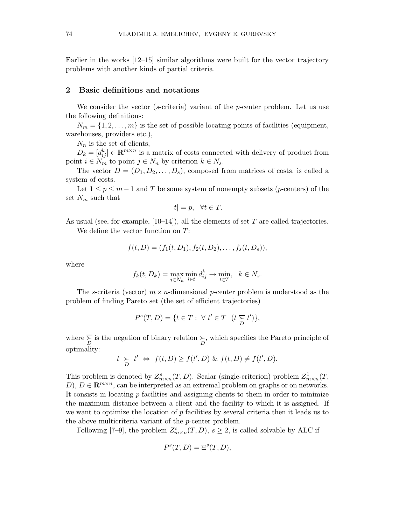Earlier in the works [12–15] similar algorithms were built for the vector trajectory problems with another kinds of partial criteria.

#### 2 Basic definitions and notations

We consider the vector (s-criteria) variant of the p-center problem. Let us use the following definitions:

 $N_m = \{1, 2, \ldots, m\}$  is the set of possible locating points of facilities (equipment, warehouses, providers etc.),

 $N_n$  is the set of clients,

 $D_k = [d_{ij}^k] \in \mathbf{R}^{m \times n}$  is a matrix of costs connected with delivery of product from point  $i \in N_m$  to point  $j \in N_n$  by criterion  $k \in N_s$ .

The vector  $D = (D_1, D_2, \ldots, D_s)$ , composed from matrices of costs, is called a system of costs.

Let  $1 \leq p \leq m-1$  and T be some system of nonempty subsets (*p*-centers) of the set  $N_m$  such that

$$
|t| = p, \quad \forall t \in T.
$$

As usual (see, for example,  $[10-14]$ ), all the elements of set T are called trajectories. We define the vector function on  $T$ :

$$
f(t, D) = (f_1(t, D_1), f_2(t, D_2), \dots, f_s(t, D_s)),
$$

where

$$
f_k(t, D_k) = \max_{j \in N_n} \min_{i \in t} d_{ij}^k \to \min_{t \in T}, \quad k \in N_s.
$$

The s-criteria (vector)  $m \times n$ -dimensional p-center problem is understood as the problem of finding Pareto set (the set of efficient trajectories)

$$
P^{s}(T,D) = \{ t \in T : \ \forall \ t' \in T \ \ (t \gtgtto_{D} t') \},
$$

where  $\sum_{D}$  is the negation of binary relation  $\sum_{D}$ , which specifies the Pareto principle of optimality:

$$
t \geq t' \Leftrightarrow f(t, D) \geq f(t', D) \& f(t, D) \neq f(t', D).
$$

This problem is denoted by  $Z_{m \times n}^s(T, D)$ . Scalar (single-criterion) problem  $Z_n^1$  $\frac{1}{m \times n}(T,$ D),  $D \in \mathbb{R}^{m \times n}$ , can be interpreted as an extremal problem on graphs or on networks. It consists in locating p facilities and assigning clients to them in order to minimize the maximum distance between a client and the facility to which it is assigned. If we want to optimize the location of  $p$  facilities by several criteria then it leads us to the above multicriteria variant of the p-center problem.

Following [7–9], the problem  $Z_{m \times n}^s(T, D)$ ,  $s \geq 2$ , is called solvable by ALC if

$$
P^s(T, D) = \Xi^s(T, D),
$$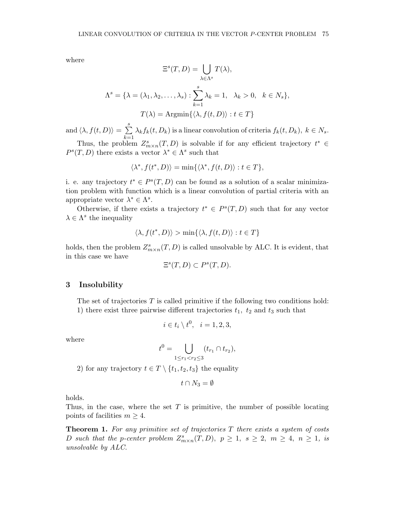where

$$
\Xi^{s}(T, D) = \bigcup_{\lambda \in \Lambda^{s}} T(\lambda),
$$

$$
\Lambda^{s} = \{\lambda = (\lambda_{1}, \lambda_{2}, \dots, \lambda_{s}) : \sum_{k=1}^{s} \lambda_{k} = 1, \ \lambda_{k} > 0, \ k \in N_{s}\},
$$

$$
T(\lambda) = \operatorname{Argmin}\{\langle \lambda, f(t, D) \rangle : t \in T\}
$$

and  $\langle \lambda, f(t, D) \rangle = \sum_{n=1}^{s}$  $\overline{k=1}$  $\lambda_k f_k(t, D_k)$  is a linear convolution of criteria  $f_k(t, D_k)$ ,  $k \in N_s$ .

Thus, the problem  $Z_{m\times n}^s(T,D)$  is solvable if for any efficient trajectory  $t^*\in$  $P^{s}(T, D)$  there exists a vector  $\lambda^{*} \in \Lambda^{s}$  such that

$$
\langle \lambda^*, f(t^*, D) \rangle = \min \{ \langle \lambda^*, f(t, D) \rangle : t \in T \},
$$

i. e. any trajectory  $t^* \in P^s(T, D)$  can be found as a solution of a scalar minimization problem with function which is a linear convolution of partial criteria with an appropriate vector  $\lambda^* \in \Lambda^s$ .

Otherwise, if there exists a trajectory  $t^* \in P^{s}(T, D)$  such that for any vector  $\lambda \in \Lambda^s$  the inequality

$$
\langle \lambda, f(t^*, D) \rangle > \min\{ \langle \lambda, f(t, D) \rangle : t \in T \}
$$

holds, then the problem  $Z_{m\times n}^s(T,D)$  is called unsolvable by ALC. It is evident, that in this case we have

$$
\Xi^s(T,D) \subset P^s(T,D).
$$

#### 3 Insolubility

The set of trajectories  $T$  is called primitive if the following two conditions hold: 1) there exist three pairwise different trajectories  $t_1$ ,  $t_2$  and  $t_3$  such that

$$
i \in t_i \setminus t^0, \quad i = 1, 2, 3,
$$

where

$$
t^0 = \bigcup_{1 \le r_1 < r_2 \le 3} (t_{r_1} \cap t_{r_2}),
$$

2) for any trajectory  $t \in T \setminus \{t_1, t_2, t_3\}$  the equality

$$
t\cap N_3=\emptyset
$$

holds.

Thus, in the case, where the set  $T$  is primitive, the number of possible locating points of facilities  $m \geq 4$ .

**Theorem 1.** For any primitive set of trajectories  $T$  there exists a system of costs D such that the p-center problem  $Z_{m\times n}^s(T, D)$ ,  $p \geq 1$ ,  $s \geq 2$ ,  $m \geq 4$ ,  $n \geq 1$ , is unsolvable by ALC.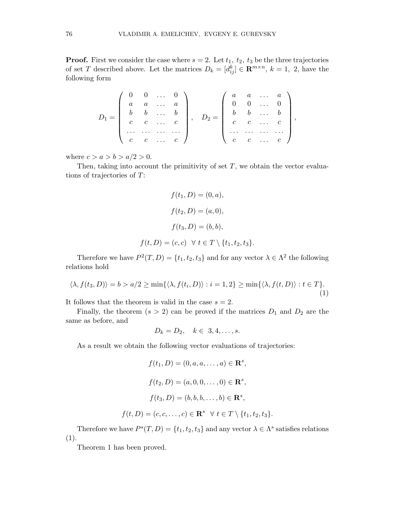**Proof.** First we consider the case where  $s = 2$ . Let  $t_1$ ,  $t_2$ ,  $t_3$  be the three trajectories of set T described above. Let the matrices  $D_k = [d_{ij}^k] \in \mathbb{R}^{m \times n}$ ,  $k = 1, 2$ , have the following form

$$
D_1=\left(\begin{array}{ccccc} 0 & 0 & \ldots & 0 \\ a & a & \ldots & a \\ b & b & \ldots & b \\ c & c & \ldots & c \\ \ldots & \ldots & \ldots & \ldots \\ c & c & \ldots & c \end{array}\right),\quad D_2=\left(\begin{array}{ccccc} a & a & \ldots & a \\ 0 & 0 & \ldots & 0 \\ b & b & \ldots & b \\ c & c & \ldots & c \\ \ldots & \ldots & \ldots & \ldots \end{array}\right),
$$

where  $c > a > b > a/2 > 0$ .

Then, taking into account the primitivity of set  $T$ , we obtain the vector evaluations of trajectories of T:

$$
f(t_1, D) = (0, a),
$$

$$
f(t_2, D) = (a, 0),
$$

$$
f(t_3, D) = (b, b),
$$

$$
f(t, D) = (c, c) \quad \forall \ t \in T \setminus \{t_1, t_2, t_3\}.
$$

Therefore we have  $P^2(T, D) = \{t_1, t_2, t_3\}$  and for any vector  $\lambda \in \Lambda^2$  the following relations hold

$$
\langle \lambda, f(t_3, D) \rangle = b > a/2 \ge \min\{\langle \lambda, f(t_i, D) \rangle : i = 1, 2\} \ge \min\{\langle \lambda, f(t, D) \rangle : t \in T\}.
$$
\n(1)

It follows that the theorem is valid in the case  $s = 2$ .

Finally, the theorem  $(s > 2)$  can be proved if the matrices  $D_1$  and  $D_2$  are the same as before, and

$$
D_k = D_2, \quad k \in 3, 4, \ldots, s.
$$

As a result we obtain the following vector evaluations of trajectories:

$$
f(t_1, D) = (0, a, a, ..., a) \in \mathbf{R}^s,
$$
  

$$
f(t_2, D) = (a, 0, 0, ..., 0) \in \mathbf{R}^s,
$$
  

$$
f(t_3, D) = (b, b, b, ..., b) \in \mathbf{R}^s,
$$
  

$$
f(t, D) = (c, c, ..., c) \in \mathbf{R}^s \quad \forall \ t \in T \setminus \{t_1, t_2, t_3\}.
$$

Therefore we have  $P^{s}(T, D) = \{t_1, t_2, t_3\}$  and any vector  $\lambda \in \Lambda^s$  satisfies relations  $(1).$ 

Theorem 1 has been proved.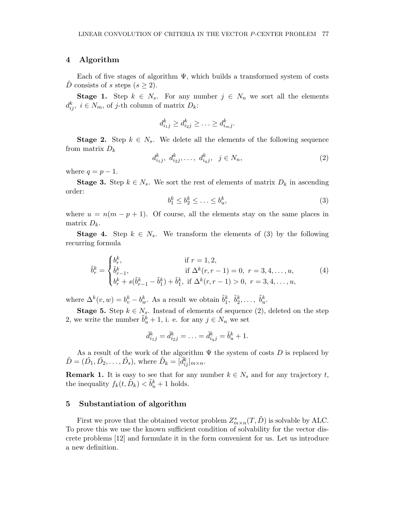## 4 Algorithm

Each of five stages of algorithm  $\Psi$ , which builds a transformed system of costs D consists of s steps  $(s \geq 2)$ .

**Stage 1.** Step  $k \in N_s$ . For any number  $j \in N_n$  we sort all the elements  $d_{ij}^k, i \in N_m$ , of j-th column of matrix  $D_k$ :

$$
d_{i_1j}^k \geq d_{i_2j}^k \geq \ldots \geq d_{i_mj}^k.
$$

**Stage 2.** Step  $k \in N_s$ . We delete all the elements of the following sequence from matrix  $D_k$ 

$$
d_{i_1j}^k, d_{i_2j}^k, \dots, d_{i_qj}^k, \ \ j \in N_n,\tag{2}
$$

where  $q = p - 1$ .

**Stage 3.** Step  $k \in N_s$ . We sort the rest of elements of matrix  $D_k$  in ascending order:

$$
b_1^k \le b_2^k \le \ldots \le b_u^k,\tag{3}
$$

where  $u = n(m - p + 1)$ . Of course, all the elements stay on the same places in matrix  $D_k$ .

**Stage 4.** Step  $k \in N_s$ . We transform the elements of (3) by the following recurring formula

$$
\tilde{b}_r^k = \begin{cases}\nb_r^k, & \text{if } r = 1, 2, \\
\tilde{b}_r^k, & \text{if } \Delta^k(r, r - 1) = 0, \ r = 3, 4, \dots, u, \\
b_r^k + s(\tilde{b}_{r-1}^k - \tilde{b}_1^k) + \tilde{b}_1^k, & \text{if } \Delta^k(r, r - 1) > 0, \ r = 3, 4, \dots, u,\n\end{cases} \tag{4}
$$

where  $\Delta^k(v, w) = b_v^k - b_w^k$ . As a result we obtain  $\tilde{b}_1^k$ ,  $\tilde{b}_2^k$ , ...,  $\tilde{b}_u^k$ .

**Stage 5.** Step  $k \in N_s$ . Instead of elements of sequence (2), deleted on the step 2, we write the number  $\tilde{b}_u^k + 1$ , i. e. for any  $j \in N_n$  we set

$$
\tilde{d}_{i_1j}^k = \tilde{d}_{i_2j}^k = \ldots = \tilde{d}_{i_qj}^k = \tilde{b}_u^k + 1.
$$

As a result of the work of the algorithm  $\Psi$  the system of costs D is replaced by  $\tilde{D} = (\tilde{D_1}, \tilde{D_2}, \dots, \tilde{D_s}),$  where  $\tilde{D}_k = [\tilde{d}_{ij}^k]_{m \times n}$ .

**Remark 1.** It is easy to see that for any number  $k \in N_s$  and for any trajectory t, the inequality  $f_k(t, \tilde{D}_k) < \tilde{b}_u^k + 1$  holds.

## 5 Substantiation of algorithm

First we prove that the obtained vector problem  $Z_{m\times n}^s(T, \tilde{D})$  is solvable by ALC. To prove this we use the known sufficient condition of solvability for the vector discrete problems [12] and formulate it in the form convenient for us. Let us introduce a new definition.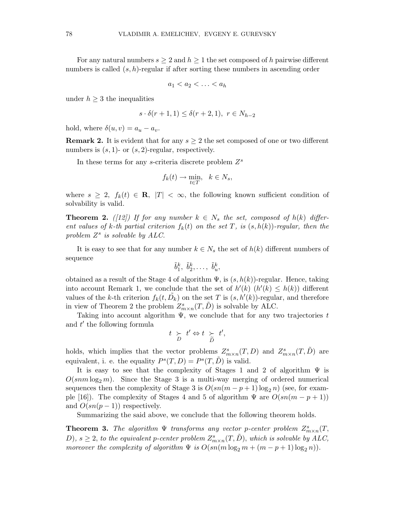For any natural numbers  $s \geq 2$  and  $h \geq 1$  the set composed of h pairwise different numbers is called  $(s, h)$ -regular if after sorting these numbers in ascending order

$$
a_1 < a_2 < \ldots < a_h
$$

under  $h \geq 3$  the inequalities

$$
s \cdot \delta(r+1,1) \le \delta(r+2,1), \ r \in N_{h-2}
$$

hold, where  $\delta(u, v) = a_u - a_v$ .

**Remark 2.** It is evident that for any  $s \geq 2$  the set composed of one or two different numbers is  $(s, 1)$ - or  $(s, 2)$ -regular, respectively.

In these terms for any s-criteria discrete problem  $Z^s$ 

$$
f_k(t) \to \min_{t \in T}, \quad k \in N_s,
$$

where  $s \geq 2$ ,  $f_k(t) \in \mathbb{R}$ ,  $|T| < \infty$ , the following known sufficient condition of solvability is valid.

**Theorem 2.** ([12]) If for any number  $k \in N_s$  the set, composed of  $h(k)$  different values of k-th partial criterion  $f_k(t)$  on the set T, is  $(s, h(k))$ -regular, then the problem  $Z^s$  is solvable by  $ALC$ .

It is easy to see that for any number  $k \in N_s$  the set of  $h(k)$  different numbers of sequence

$$
\tilde{b}_1^k, \ \tilde{b}_2^k, \ldots, \ \tilde{b}_u^k,
$$

obtained as a result of the Stage 4 of algorithm  $\Psi$ , is  $(s, h(k))$ -regular. Hence, taking into account Remark 1, we conclude that the set of  $h'(k)$   $(h'(k) \leq h(k))$  different values of the k-th criterion  $f_k(t, \tilde{D}_k)$  on the set T is  $(s, h'(k))$ -regular, and therefore in view of Theorem 2 the problem  $Z_{m \times n}^s(T, \tilde{D})$  is solvable by ALC.

Taking into account algorithm  $\Psi$ , we conclude that for any two trajectories t and  $t'$  the following formula

$$
t \underset{D}{\succ} t' \Leftrightarrow t \underset{\widetilde{D}}{\succ} t',
$$

holds, which implies that the vector problems  $Z_{m\times n}^s(T, D)$  and  $Z_{m\times n}^s(T, \tilde{D})$  are equivalent, i. e. the equality  $P^{s}(T,D) = P^{s}(T,\tilde{D})$  is valid.

It is easy to see that the complexity of Stages 1 and 2 of algorithm  $\Psi$  is  $O(snm \log_2 m)$ . Since the Stage 3 is a multi-way merging of ordered numerical sequences then the complexity of Stage 3 is  $O(sn(m-p+1)\log_2 n)$  (see, for example [16]). The complexity of Stages 4 and 5 of algorithm  $\Psi$  are  $O(\text{sn}(m - p + 1))$ and  $O(sn(p-1))$  respectively.

Summarizing the said above, we conclude that the following theorem holds.

**Theorem 3.** The algorithm  $\Psi$  transforms any vector p-center problem  $Z_{m\times n}^s(T, \mathcal{L}_m)$ D),  $s \geq 2$ , to the equivalent p-center problem  $Z_{m \times n}^s(T, \tilde{D})$ , which is solvable by ALC, moreover the complexity of algorithm  $\Psi$  is  $O(sn(m \log_2 m + (m-p+1) \log_2 n)).$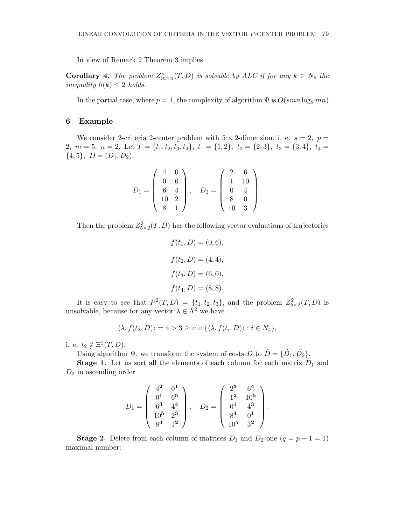In view of Remark 2 Theorem 3 implies

**Corollary 4.** The problem  $Z_{m \times n}^s(T, D)$  is solvable by ALC if for any  $k \in N_s$  the inequality  $h(k) \leq 2$  holds.

In the partial case, where  $p = 1$ , the complexity of algorithm  $\Psi$  is  $O(smn \log_2 mn)$ .

# 6 Example

We consider 2-criteria 2-center problem with  $5 \times 2$ -dimension, i. e.  $s = 2$ ,  $p =$ 2,  $m = 5$ ,  $n = 2$ . Let  $T = \{t_1, t_2, t_3, t_4\}$ ,  $t_1 = \{1, 2\}$ ,  $t_2 = \{2, 3\}$ ,  $t_3 = \{3, 4\}$ ,  $t_4 =$  $\{4,5\},\ D=(D_1,D_2),$ 

$$
D_1 = \left(\begin{array}{cc} 4 & 0 \\ 0 & 6 \\ 6 & 4 \\ 10 & 2 \\ 8 & 1 \end{array}\right), \quad D_2 = \left(\begin{array}{cc} 2 & 6 \\ 1 & 10 \\ 0 & 4 \\ 8 & 0 \\ 10 & 3 \end{array}\right).
$$

Then the problem  $Z_{5\times 2}^2(T, D)$  has the following vector evaluations of trajectories

$$
f(t_1, D) = (0, 6),
$$

$$
f(t_2, D) = (4, 4),
$$

$$
f(t_3, D) = (6, 0),
$$

$$
f(t_4, D) = (8, 8).
$$

It is easy to see that  $P^2(T,D) = \{t_1, t_2, t_3\}$ , and the problem  $Z_{5\times 2}^2(T,D)$  is unsolvable, because for any vector  $\lambda \in \Lambda^2$  we have

$$
\langle \lambda, f(t_2, D) \rangle = 4 > 3 \ge \min\{\langle \lambda, f(t_i, D) \rangle : i \in N_4\},\
$$

i. e.  $t_2 \notin \Xi^2(T, D)$ .

Using algorithm  $\Psi$ , we transform the system of costs D to  $\tilde{D} = {\{\tilde{D}_1, \tilde{D}_2\}}$ .

**Stage 1.** Let us sort all the elements of each column for each matrix  $D_1$  and  $D_2$  in ascending order

$$
D_1 = \left(\begin{array}{cc} 4^2 & 0^1 \\ 0^1 & 6^5 \\ 6^3 & 4^4 \\ 10^5 & 2^3 \\ 8^4 & 1^2 \end{array}\right), \quad D_2 = \left(\begin{array}{cc} 2^3 & 6^4 \\ 1^2 & 10^5 \\ 0^1 & 4^3 \\ 8^4 & 0^1 \\ 10^5 & 3^2 \end{array}\right).
$$

**Stage 2.** Delete from each column of matrices  $D_1$  and  $D_2$  one  $(q = p - 1 = 1)$ maximal number: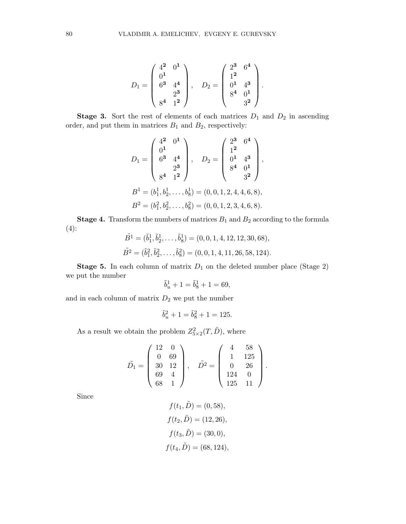$$
D_1 = \begin{pmatrix} 4^2 & 0^1 \\ 0^1 & 0 \\ 6^3 & 4^4 \\ 2^3 & 0^1 \end{pmatrix}, \quad D_2 = \begin{pmatrix} 2^3 & 6^4 \\ 1^2 & 0 \\ 0^1 & 4^3 \\ 8^4 & 0^1 \\ 3^2 & 0 \end{pmatrix}
$$

.

**Stage 3.** Sort the rest of elements of each matrices  $D_1$  and  $D_2$  in ascending order, and put them in matrices  $\mathcal{B}_1$  and  $\mathcal{B}_2,$  respectively:

$$
D_1 = \begin{pmatrix} 4^2 & 0^1 \\ 0^1 & 0 \\ 6^3 & 4^4 \\ 2^3 & 0 \\ 8^4 & 1^2 \end{pmatrix}, \quad D_2 = \begin{pmatrix} 2^3 & 6^4 \\ 1^2 & 0 \\ 0^1 & 4^3 \\ 8^4 & 0^1 \\ 3^2 & 0 \end{pmatrix},
$$
  
\n
$$
B^1 = (b_1^1, b_2^1, \dots, b_8^1) = (0, 0, 1, 2, 4, 4, 6, 8),
$$
  
\n
$$
B^2 = (b_1^2, b_2^2, \dots, b_8^2) = (0, 0, 1, 2, 3, 4, 6, 8).
$$

**Stage 4.** Transform the numbers of matrices  $B_1$  and  $B_2$  according to the formula (4):

$$
\tilde{B}^1 = (\tilde{b}_1^1, \tilde{b}_2^1, \dots, \tilde{b}_8^1) = (0, 0, 1, 4, 12, 12, 30, 68),
$$
  

$$
\tilde{B}^2 = (\tilde{b}_1^2, \tilde{b}_2^2, \dots, \tilde{b}_8^2) = (0, 0, 1, 4, 11, 26, 58, 124).
$$

**Stage 5.** In each column of matrix  $D_1$  on the deleted number place (Stage 2) we put the number

$$
\tilde{b}^1_u + 1 = \tilde{b}^1_8 + 1 = 69,
$$

and in each column of matrix  $D_2$  we put the number

$$
\tilde{b}_u^2 + 1 = \tilde{b}_8^2 + 1 = 125.
$$

As a result we obtain the problem  $Z_{5\times 2}^2(T,\tilde{D})$ , where

$$
\tilde{D}_1 = \begin{pmatrix} 12 & 0 \\ 0 & 69 \\ 30 & 12 \\ 69 & 4 \\ 68 & 1 \end{pmatrix}, \quad \tilde{D}^2 = \begin{pmatrix} 4 & 58 \\ 1 & 125 \\ 0 & 26 \\ 124 & 0 \\ 125 & 11 \end{pmatrix}.
$$

Since

$$
f(t_1, \tilde{D}) = (0, 58),
$$
  
\n
$$
f(t_2, \tilde{D}) = (12, 26),
$$
  
\n
$$
f(t_3, \tilde{D}) = (30, 0),
$$
  
\n
$$
f(t_4, \tilde{D}) = (68, 124),
$$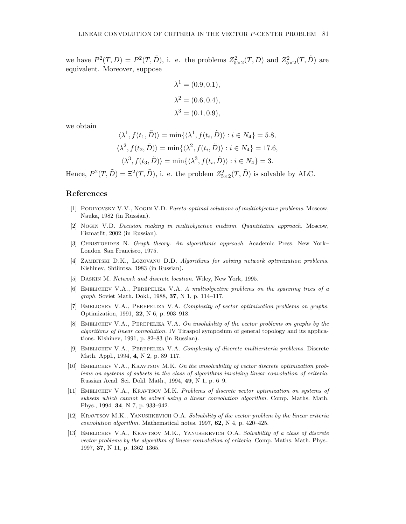we have  $P^2(T,D) = P^2(T,\tilde{D})$ , i. e. the problems  $Z_{5\times 2}^2(T,D)$  and  $Z_{5\times 2}^2(T,\tilde{D})$  are equivalent. Moreover, suppose

$$
\lambda^{1} = (0.9, 0.1),
$$
  
\n
$$
\lambda^{2} = (0.6, 0.4),
$$
  
\n
$$
\lambda^{3} = (0.1, 0.9),
$$

we obtain

$$
\langle \lambda^1, f(t_1, \tilde{D}) \rangle = \min \{ \langle \lambda^1, f(t_i, \tilde{D}) \rangle : i \in N_4 \} = 5.8,
$$
  

$$
\langle \lambda^2, f(t_2, \tilde{D}) \rangle = \min \{ \langle \lambda^2, f(t_i, \tilde{D}) \rangle : i \in N_4 \} = 17.6,
$$
  

$$
\langle \lambda^3, f(t_3, \tilde{D}) \rangle = \min \{ \langle \lambda^3, f(t_i, \tilde{D}) \rangle : i \in N_4 \} = 3.
$$

Hence,  $P^2(T, \tilde{D}) = \Xi^2(T, \tilde{D})$ , i. e. the problem  $Z^2_{5\times 2}(T, \tilde{D})$  is solvable by ALC.

### References

- [1] Podinovsky V.V., Nogin V.D. Pareto-optimal solutions of multiobjective problems. Moscow, Nauka, 1982 (in Russian).
- [2] Nogin V.D. Decision making in multiobjective medium. Quantitative approach. Moscow, Fizmatlit, 2002 (in Russian).
- [3] CHRISTOFIDES N. Graph theory. An algorithmic approach. Academic Press, New York– London–San Francisco, 1975.
- [4] ZAMBITSKI D.K., LOZOVANU D.D. Algorithms for solving network optimization problems. Kishinev, Shtiintsa, 1983 (in Russian).
- [5] Daskin M. Network and discrete location. Wiley, New York, 1995.
- [6] Emelichev V.A., Perepeliza V.A. A multiobjective problems on the spanning trees of a graph. Soviet Math. Dokl., 1988, 37, N 1, p. 114–117.
- [7] Emelichev V.A., Perepeliza V.A. Complexity of vector optimization problems on graphs. Optimization, 1991, 22, N 6, p. 903–918.
- [8] Emelichev V.A., Perepeliza V.A. On insolubility of the vector problems on graphs by the algorithms of linear convolution. IV Tiraspol symposium of general topology and its applications. Kishinev, 1991, p. 82–83 (in Russian).
- [9] Emelichev V.A., Perepeliza V.A. Complexity of discrete multicriteria problems. Discrete Math. Appl., 1994, 4, N 2, p. 89–117.
- [10] Emelichev V.A., Kravtsov M.K. On the unsolvability of vector discrete optimization problems on systems of subsets in the class of algorithms involving linear convolution of criteria. Russian Acad. Sci. Dokl. Math., 1994, 49, N 1, p. 6–9.
- [11] Emelichev V.A., Kravtsov M.K. Problems of discrete vector optimization on systems of subsets which cannot be solved using a linear convolution algorithm. Comp. Maths. Math. Phys., 1994, 34, N 7, p. 933–942.
- [12] Kravtsov M.K., Yanushkevich O.A. Solvability of the vector problem by the linear criteria convolution algorithm. Mathematical notes. 1997, 62, N 4, p. 420–425.
- [13] EMELICHEV V.A., KRAVTSOV M.K., YANUSHKEVICH O.A. Solvability of a class of discrete vector problems by the algorithm of linear convolution of criteria. Comp. Maths. Math. Phys., 1997, 37, N 11, p. 1362–1365.